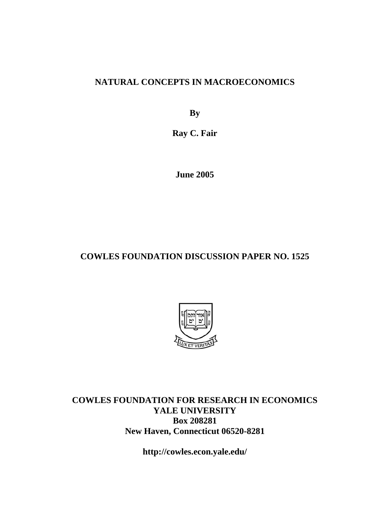### **NATURAL CONCEPTS IN MACROECONOMICS**

**By** 

**Ray C. Fair** 

**June 2005** 

### **COWLES FOUNDATION DISCUSSION PAPER NO. 1525**



**COWLES FOUNDATION FOR RESEARCH IN ECONOMICS YALE UNIVERSITY Box 208281 New Haven, Connecticut 06520-8281** 

**http://cowles.econ.yale.edu/**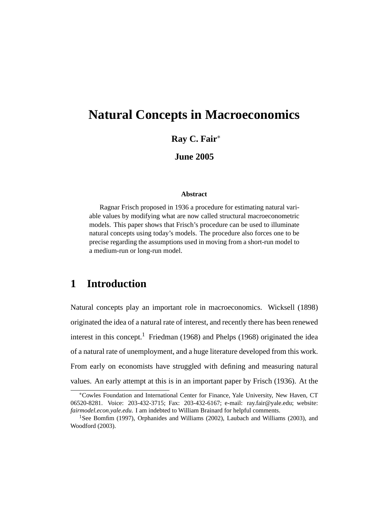# **Natural Concepts in Macroeconomics**

**Ray C. Fair**<sup>∗</sup>

**June 2005**

#### **Abstract**

Ragnar Frisch proposed in 1936 a procedure for estimating natural variable values by modifying what are now called structural macroeconometric models. This paper shows that Frisch's procedure can be used to illuminate natural concepts using today's models. The procedure also forces one to be precise regarding the assumptions used in moving from a short-run model to a medium-run or long-run model.

## **1 Introduction**

Natural concepts play an important role in macroeconomics. Wicksell (1898) originated the idea of a natural rate of interest, and recently there has been renewed interest in this concept.<sup>1</sup> Friedman (1968) and Phelps (1968) originated the idea of a natural rate of unemployment, and a huge literature developed from this work. From early on economists have struggled with defining and measuring natural values. An early attempt at this is in an important paper by Frisch (1936). At the

<sup>∗</sup>Cowles Foundation and International Center for Finance, Yale University, New Haven, CT 06520-8281. Voice: 203-432-3715; Fax: 203-432-6167; e-mail: ray.fair@yale.edu; website: *fairmodel.econ.yale.edu*. I am indebted to William Brainard for helpful comments.

<sup>&</sup>lt;sup>1</sup>See Bomfim (1997), Orphanides and Williams (2002), Laubach and Williams (2003), and Woodford (2003).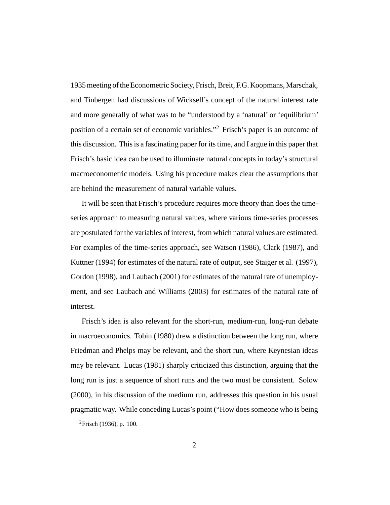1935 meeting of the Econometric Society, Frisch, Breit, F.G. Koopmans, Marschak, and Tinbergen had discussions of Wicksell's concept of the natural interest rate and more generally of what was to be "understood by a 'natural' or 'equilibrium' position of a certain set of economic variables."2 Frisch's paper is an outcome of this discussion. This is a fascinating paper for its time, and I argue in this paper that Frisch's basic idea can be used to illuminate natural concepts in today's structural macroeconometric models. Using his procedure makes clear the assumptions that are behind the measurement of natural variable values.

It will be seen that Frisch's procedure requires more theory than does the timeseries approach to measuring natural values, where various time-series processes are postulated for the variables of interest, from which natural values are estimated. For examples of the time-series approach, see Watson (1986), Clark (1987), and Kuttner (1994) for estimates of the natural rate of output, see Staiger et al. (1997), Gordon (1998), and Laubach (2001) for estimates of the natural rate of unemployment, and see Laubach and Williams (2003) for estimates of the natural rate of interest.

Frisch's idea is also relevant for the short-run, medium-run, long-run debate in macroeconomics. Tobin (1980) drew a distinction between the long run, where Friedman and Phelps may be relevant, and the short run, where Keynesian ideas may be relevant. Lucas (1981) sharply criticized this distinction, arguing that the long run is just a sequence of short runs and the two must be consistent. Solow (2000), in his discussion of the medium run, addresses this question in his usual pragmatic way. While conceding Lucas's point ("How does someone who is being

 ${}^{2}$ Frisch (1936), p. 100.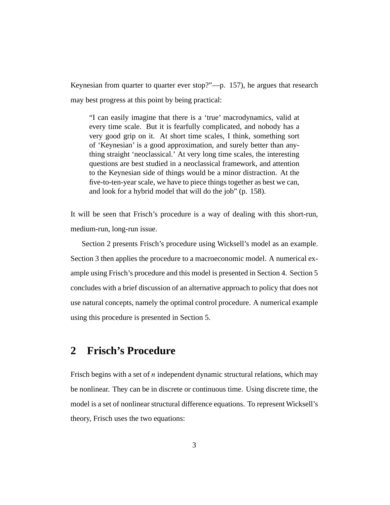Keynesian from quarter to quarter ever stop?"—p. 157), he argues that research may best progress at this point by being practical:

"I can easily imagine that there is a 'true' macrodynamics, valid at every time scale. But it is fearfully complicated, and nobody has a very good grip on it. At short time scales, I think, something sort of 'Keynesian' is a good approximation, and surely better than anything straight 'neoclassical.' At very long time scales, the interesting questions are best studied in a neoclassical framework, and attention to the Keynesian side of things would be a minor distraction. At the five-to-ten-year scale, we have to piece things together as best we can, and look for a hybrid model that will do the job" (p. 158).

It will be seen that Frisch's procedure is a way of dealing with this short-run, medium-run, long-run issue.

Section 2 presents Frisch's procedure using Wicksell's model as an example. Section 3 then applies the procedure to a macroeconomic model. A numerical example using Frisch's procedure and this model is presented in Section 4. Section 5 concludes with a brief discussion of an alternative approach to policy that does not use natural concepts, namely the optimal control procedure. A numerical example using this procedure is presented in Section 5.

### **2 Frisch's Procedure**

Frisch begins with a set of  $n$  independent dynamic structural relations, which may be nonlinear. They can be in discrete or continuous time. Using discrete time, the model is a set of nonlinear structural difference equations. To represent Wicksell's theory, Frisch uses the two equations: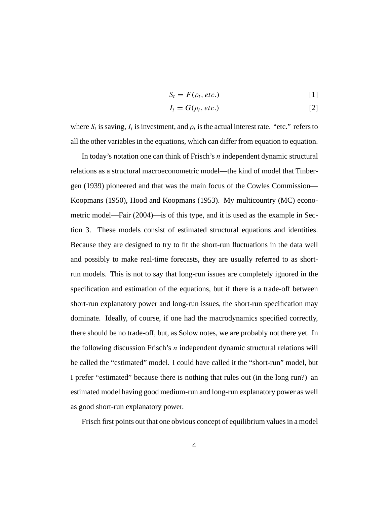$$
S_t = F(\rho_t, etc.)
$$
 [1]

$$
I_t = G(\rho_t, \text{etc.})
$$
 [2]

where  $S_t$  is saving,  $I_t$  is investment, and  $\rho_t$  is the actual interest rate. "etc." refers to all the other variables in the equations, which can differ from equation to equation.

In today's notation one can think of Frisch's n independent dynamic structural relations as a structural macroeconometric model—the kind of model that Tinbergen (1939) pioneered and that was the main focus of the Cowles Commission— Koopmans (1950), Hood and Koopmans (1953). My multicountry (MC) econometric model—Fair (2004)—is of this type, and it is used as the example in Section 3. These models consist of estimated structural equations and identities. Because they are designed to try to fit the short-run fluctuations in the data well and possibly to make real-time forecasts, they are usually referred to as shortrun models. This is not to say that long-run issues are completely ignored in the specification and estimation of the equations, but if there is a trade-off between short-run explanatory power and long-run issues, the short-run specification may dominate. Ideally, of course, if one had the macrodynamics specified correctly, there should be no trade-off, but, as Solow notes, we are probably not there yet. In the following discussion Frisch's  $n$  independent dynamic structural relations will be called the "estimated" model. I could have called it the "short-run" model, but I prefer "estimated" because there is nothing that rules out (in the long run?) an estimated model having good medium-run and long-run explanatory power as well as good short-run explanatory power.

Frisch first points out that one obvious concept of equilibrium values in a model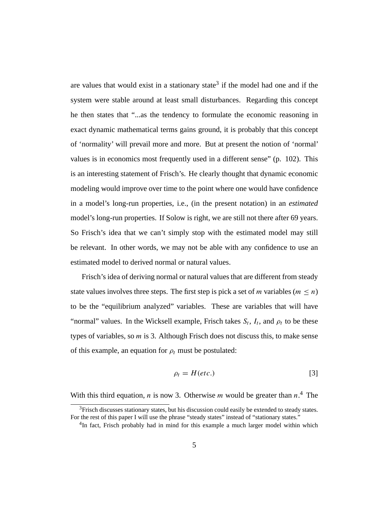are values that would exist in a stationary state<sup>3</sup> if the model had one and if the system were stable around at least small disturbances. Regarding this concept he then states that "...as the tendency to formulate the economic reasoning in exact dynamic mathematical terms gains ground, it is probably that this concept of 'normality' will prevail more and more. But at present the notion of 'normal' values is in economics most frequently used in a different sense" (p. 102). This is an interesting statement of Frisch's. He clearly thought that dynamic economic modeling would improve over time to the point where one would have confidence in a model's long-run properties, i.e., (in the present notation) in an *estimated* model's long-run properties. If Solow is right, we are still not there after 69 years. So Frisch's idea that we can't simply stop with the estimated model may still be relevant. In other words, we may not be able with any confidence to use an estimated model to derived normal or natural values.

Frisch's idea of deriving normal or natural values that are different from steady state values involves three steps. The first step is pick a set of m variables ( $m \le n$ ) to be the "equilibrium analyzed" variables. These are variables that will have "normal" values. In the Wicksell example, Frisch takes  $S_t$ ,  $I_t$ , and  $\rho_t$  to be these types of variables, so  $m$  is 3. Although Frisch does not discuss this, to make sense of this example, an equation for  $\rho_t$  must be postulated:

$$
\rho_t = H(\text{etc.}) \tag{3}
$$

With this third equation, *n* is now 3. Otherwise *m* would be greater than  $n<sup>4</sup>$ . The

 $3$ Frisch discusses stationary states, but his discussion could easily be extended to steady states. For the rest of this paper I will use the phrase "steady states" instead of "stationary states."

 ${}^{4}$ In fact, Frisch probably had in mind for this example a much larger model within which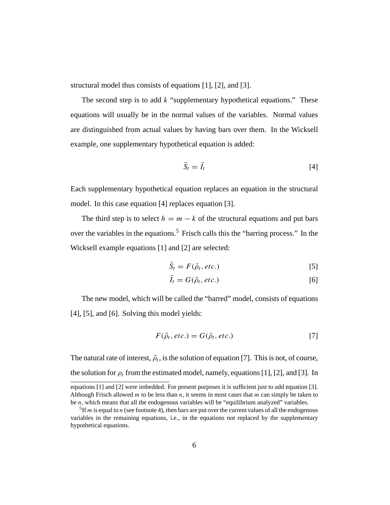structural model thus consists of equations [1], [2], and [3].

The second step is to add  $k$  "supplementary hypothetical equations." These equations will usually be in the normal values of the variables. Normal values are distinguished from actual values by having bars over them. In the Wicksell example, one supplementary hypothetical equation is added:

$$
\bar{S}_t = \bar{I}_t \tag{4}
$$

Each supplementary hypothetical equation replaces an equation in the structural model. In this case equation [4] replaces equation [3].

The third step is to select  $h = m - k$  of the structural equations and put bars over the variables in the equations.<sup>5</sup> Frisch calls this the "barring process." In the Wicksell example equations [1] and [2] are selected:

$$
\bar{S}_t = F(\bar{\rho}_t, etc.)
$$
 [5]

$$
\bar{I}_t = G(\bar{\rho}_t, etc.)
$$
 [6]

The new model, which will be called the "barred" model, consists of equations [4], [5], and [6]. Solving this model yields:

$$
F(\bar{\rho}_t, etc.) = G(\bar{\rho}_t, etc.)
$$
 [7]

The natural rate of interest,  $\bar{\rho}_t$ , is the solution of equation [7]. This is not, of course, the solution for  $\rho_t$  from the estimated model, namely, equations [1], [2], and [3]. In

equations [1] and [2] were imbedded. For present purposes it is sufficient just to add equation [3]. Although Frisch allowed  $m$  to be less than  $n$ , it seems in most cases that  $m$  can simply be taken to be  $n$ , which means that all the endogenous variables will be "equilibrium analyzed" variables.

<sup>&</sup>lt;sup>5</sup>If *m* is equal to *n* (see footnote 4), then bars are put over the current values of all the endogenous variables in the remaining equations, i.e., in the equations not replaced by the supplementary hypothetical equations.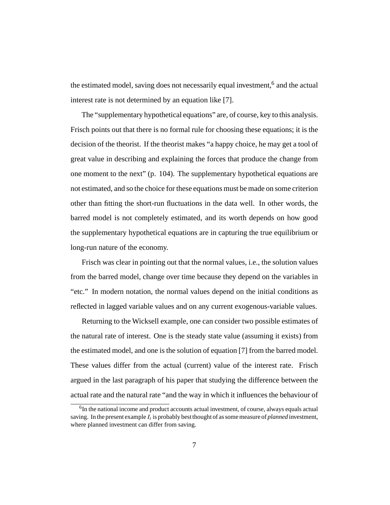the estimated model, saving does not necessarily equal investment,<sup>6</sup> and the actual interest rate is not determined by an equation like [7].

The "supplementary hypothetical equations" are, of course, key to this analysis. Frisch points out that there is no formal rule for choosing these equations; it is the decision of the theorist. If the theorist makes "a happy choice, he may get a tool of great value in describing and explaining the forces that produce the change from one moment to the next" (p. 104). The supplementary hypothetical equations are not estimated, and so the choice for these equations must be made on some criterion other than fitting the short-run fluctuations in the data well. In other words, the barred model is not completely estimated, and its worth depends on how good the supplementary hypothetical equations are in capturing the true equilibrium or long-run nature of the economy.

Frisch was clear in pointing out that the normal values, i.e., the solution values from the barred model, change over time because they depend on the variables in "etc." In modern notation, the normal values depend on the initial conditions as reflected in lagged variable values and on any current exogenous-variable values.

Returning to the Wicksell example, one can consider two possible estimates of the natural rate of interest. One is the steady state value (assuming it exists) from the estimated model, and one is the solution of equation [7] from the barred model. These values differ from the actual (current) value of the interest rate. Frisch argued in the last paragraph of his paper that studying the difference between the actual rate and the natural rate "and the way in which it influences the behaviour of

 $6$ In the national income and product accounts actual investment, of course, always equals actual saving. In the present example  $I_t$  is probably best thought of as some measure of *planned* investment, where planned investment can differ from saving.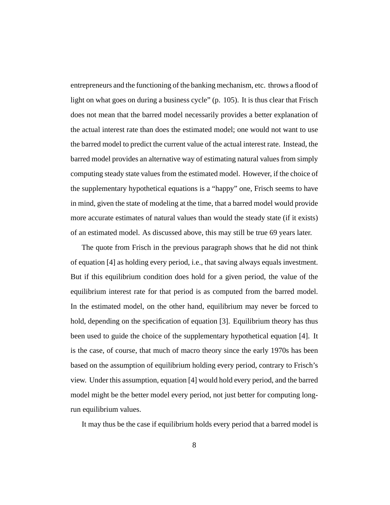entrepreneurs and the functioning of the banking mechanism, etc. throws a flood of light on what goes on during a business cycle" (p. 105). It is thus clear that Frisch does not mean that the barred model necessarily provides a better explanation of the actual interest rate than does the estimated model; one would not want to use the barred model to predict the current value of the actual interest rate. Instead, the barred model provides an alternative way of estimating natural values from simply computing steady state values from the estimated model. However, if the choice of the supplementary hypothetical equations is a "happy" one, Frisch seems to have in mind, given the state of modeling at the time, that a barred model would provide more accurate estimates of natural values than would the steady state (if it exists) of an estimated model. As discussed above, this may still be true 69 years later.

The quote from Frisch in the previous paragraph shows that he did not think of equation [4] as holding every period, i.e., that saving always equals investment. But if this equilibrium condition does hold for a given period, the value of the equilibrium interest rate for that period is as computed from the barred model. In the estimated model, on the other hand, equilibrium may never be forced to hold, depending on the specification of equation [3]. Equilibrium theory has thus been used to guide the choice of the supplementary hypothetical equation [4]. It is the case, of course, that much of macro theory since the early 1970s has been based on the assumption of equilibrium holding every period, contrary to Frisch's view. Under this assumption, equation [4] would hold every period, and the barred model might be the better model every period, not just better for computing longrun equilibrium values.

It may thus be the case if equilibrium holds every period that a barred model is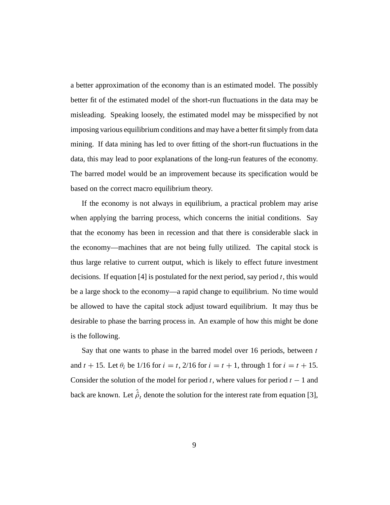a better approximation of the economy than is an estimated model. The possibly better fit of the estimated model of the short-run fluctuations in the data may be misleading. Speaking loosely, the estimated model may be misspecified by not imposing various equilibrium conditions and may have a better fit simply from data mining. If data mining has led to over fitting of the short-run fluctuations in the data, this may lead to poor explanations of the long-run features of the economy. The barred model would be an improvement because its specification would be based on the correct macro equilibrium theory.

If the economy is not always in equilibrium, a practical problem may arise when applying the barring process, which concerns the initial conditions. Say that the economy has been in recession and that there is considerable slack in the economy—machines that are not being fully utilized. The capital stock is thus large relative to current output, which is likely to effect future investment decisions. If equation [4] is postulated for the next period, say period  $t$ , this would be a large shock to the economy—a rapid change to equilibrium. No time would be allowed to have the capital stock adjust toward equilibrium. It may thus be desirable to phase the barring process in. An example of how this might be done is the following.

Say that one wants to phase in the barred model over 16 periods, between  $t$ and  $t + 15$ . Let  $\theta_i$  be 1/16 for  $i = t$ , 2/16 for  $i = t + 1$ , through 1 for  $i = t + 15$ . Consider the solution of the model for period t, where values for period  $t - 1$  and back are known. Let  $\hat{\rho}_t$  denote the solution for the interest rate from equation [3],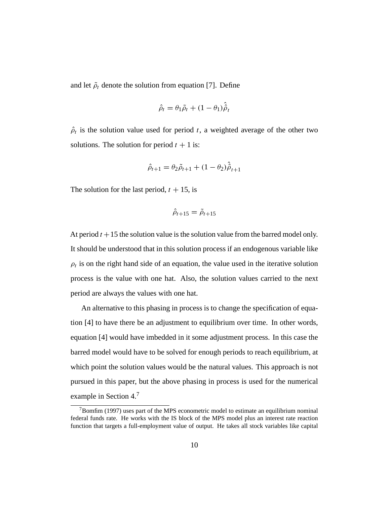and let  $\tilde{\rho}_t$  denote the solution from equation [7]. Define

$$
\hat{\rho}_t = \theta_1 \tilde{\rho}_t + (1 - \theta_1) \hat{\hat{\rho}}_t
$$

 $\hat{\rho}_t$  is the solution value used for period t, a weighted average of the other two solutions. The solution for period  $t + 1$  is:

$$
\hat{\rho}_{t+1} = \theta_2 \tilde{\rho}_{t+1} + (1 - \theta_2) \hat{\hat{\rho}}_{t+1}
$$

The solution for the last period,  $t + 15$ , is

$$
\hat{\rho}_{t+15}=\tilde{\rho}_{t+15}
$$

At period  $t + 15$  the solution value is the solution value from the barred model only. It should be understood that in this solution process if an endogenous variable like  $\rho_t$  is on the right hand side of an equation, the value used in the iterative solution process is the value with one hat. Also, the solution values carried to the next period are always the values with one hat.

An alternative to this phasing in process is to change the specification of equation [4] to have there be an adjustment to equilibrium over time. In other words, equation [4] would have imbedded in it some adjustment process. In this case the barred model would have to be solved for enough periods to reach equilibrium, at which point the solution values would be the natural values. This approach is not pursued in this paper, but the above phasing in process is used for the numerical example in Section 4.7

 $7$ Bomfim (1997) uses part of the MPS econometric model to estimate an equilibrium nominal federal funds rate. He works with the IS block of the MPS model plus an interest rate reaction function that targets a full-employment value of output. He takes all stock variables like capital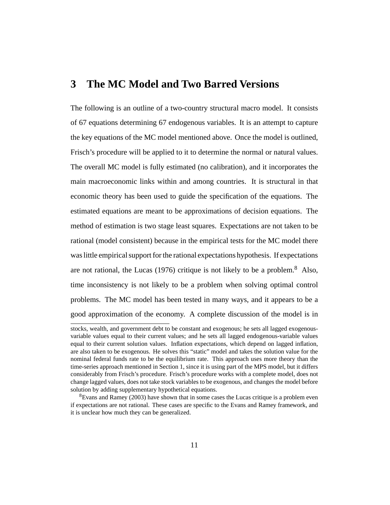### **3 The MC Model and Two Barred Versions**

The following is an outline of a two-country structural macro model. It consists of 67 equations determining 67 endogenous variables. It is an attempt to capture the key equations of the MC model mentioned above. Once the model is outlined, Frisch's procedure will be applied to it to determine the normal or natural values. The overall MC model is fully estimated (no calibration), and it incorporates the main macroeconomic links within and among countries. It is structural in that economic theory has been used to guide the specification of the equations. The estimated equations are meant to be approximations of decision equations. The method of estimation is two stage least squares. Expectations are not taken to be rational (model consistent) because in the empirical tests for the MC model there was little empirical support for the rational expectations hypothesis. If expectations are not rational, the Lucas (1976) critique is not likely to be a problem.<sup>8</sup> Also, time inconsistency is not likely to be a problem when solving optimal control problems. The MC model has been tested in many ways, and it appears to be a good approximation of the economy. A complete discussion of the model is in

stocks, wealth, and government debt to be constant and exogenous; he sets all lagged exogenousvariable values equal to their current values; and he sets all lagged endogenous-variable values equal to their current solution values. Inflation expectations, which depend on lagged inflation, are also taken to be exogenous. He solves this "static" model and takes the solution value for the nominal federal funds rate to be the equilibrium rate. This approach uses more theory than the time-series approach mentioned in Section 1, since it is using part of the MPS model, but it differs considerably from Frisch's procedure. Frisch's procedure works with a complete model, does not change lagged values, does not take stock variables to be exogenous, and changes the model before solution by adding supplementary hypothetical equations.

<sup>&</sup>lt;sup>8</sup>Evans and Ramey (2003) have shown that in some cases the Lucas critique is a problem even if expectations are not rational. These cases are specific to the Evans and Ramey framework, and it is unclear how much they can be generalized.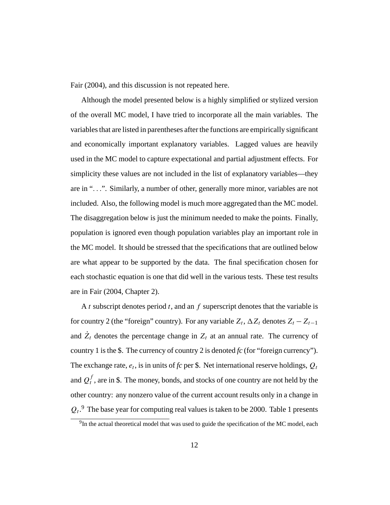Fair (2004), and this discussion is not repeated here.

Although the model presented below is a highly simplified or stylized version of the overall MC model, I have tried to incorporate all the main variables. The variables that are listed in parentheses after the functions are empirically significant and economically important explanatory variables. Lagged values are heavily used in the MC model to capture expectational and partial adjustment effects. For simplicity these values are not included in the list of explanatory variables—they are in "...". Similarly, a number of other, generally more minor, variables are not included. Also, the following model is much more aggregated than the MC model. The disaggregation below is just the minimum needed to make the points. Finally, population is ignored even though population variables play an important role in the MC model. It should be stressed that the specifications that are outlined below are what appear to be supported by the data. The final specification chosen for each stochastic equation is one that did well in the various tests. These test results are in Fair (2004, Chapter 2).

A t subscript denotes period t, and an f superscript denotes that the variable is for country 2 (the "foreign" country). For any variable  $Z_t$ ,  $\Delta Z_t$  denotes  $Z_t - Z_{t-1}$ and  $\dot{Z}_t$  denotes the percentage change in  $Z_t$  at an annual rate. The currency of country 1 is the \$. The currency of country 2 is denoted *fc* (for "foreign currency"). The exchange rate,  $e_t$ , is in units of  $fc$  per \$. Net international reserve holdings,  $Q_t$ and  $Q_t^f$  , are in \$. The money, bonds, and stocks of one country are not held by the other country: any nonzero value of the current account results only in a change in  $Q_t$ .<sup>9</sup> The base year for computing real values is taken to be 2000. Table 1 presents

 $9$ In the actual theoretical model that was used to guide the specification of the MC model, each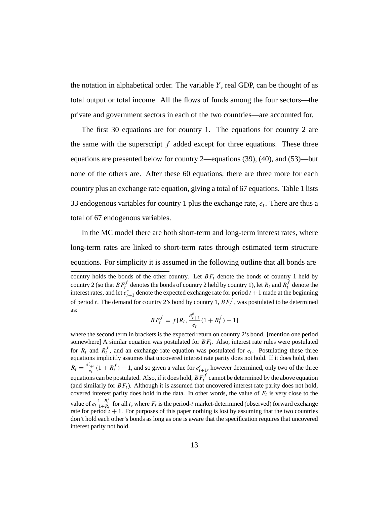the notation in alphabetical order. The variable  $Y$ , real GDP, can be thought of as total output or total income. All the flows of funds among the four sectors—the private and government sectors in each of the two countries—are accounted for.

The first 30 equations are for country 1. The equations for country 2 are the same with the superscript  $f$  added except for three equations. These three equations are presented below for country 2—equations (39), (40), and (53)—but none of the others are. After these 60 equations, there are three more for each country plus an exchange rate equation, giving a total of 67 equations. Table 1 lists 33 endogenous variables for country 1 plus the exchange rate,  $e_t$ . There are thus a total of 67 endogenous variables.

In the MC model there are both short-term and long-term interest rates, where long-term rates are linked to short-term rates through estimated term structure equations. For simplicity it is assumed in the following outline that all bonds are

$$
BF_t^f = f[R_t, \frac{e_{t+1}^e}{e_t}(1 + R_t^f) - 1]
$$

where the second term in brackets is the expected return on country 2's bond. [mention one period somewhere] A similar equation was postulated for  $BF_t$ . Also, interest rate rules were postulated for  $R_t$  and  $R_t^f$ , and an exchange rate equation was postulated for  $e_t$ . Postulating these three equations implicitly assumes that uncovered interest rate parity does not hold. If it does hold, then  $R_t = \frac{e_{t+1}^e}{e_t} (1 + R_t^f) - 1$ , and so given a value for  $e_{t+1}^e$ , however determined, only two of the three equations can be postulated. Also, if it does hold,  $B\, F_t^f$  cannot be determined by the above equation (and similarly for  $BF_t$ ). Although it is assumed that uncovered interest rate parity does not hold, covered interest parity does hold in the data. In other words, the value of  $F_t$  is very close to the value of  $e_t \frac{1+R_t^f}{1+R_t}$  for all t, where  $F_t$  is the period-t market-determined (observed) forward exchange rate for period  $t + 1$ . For purposes of this paper nothing is lost by assuming that the two countries don't hold each other's bonds as long as one is aware that the specification requires that uncovered interest parity not hold.

country holds the bonds of the other country. Let  $BF_t$  denote the bonds of country 1 held by country 2 (so that  $BF_t^f$  denotes the bonds of country 2 held by country 1), let  $R_t$  and  $R_t^f$  denote the interest rates, and let  $e_{t+1}^e$  denote the expected exchange rate for period  $t + 1$  made at the beginning of period t. The demand for country 2's bond by country 1,  $BF_t^f$ , was postulated to be determined as: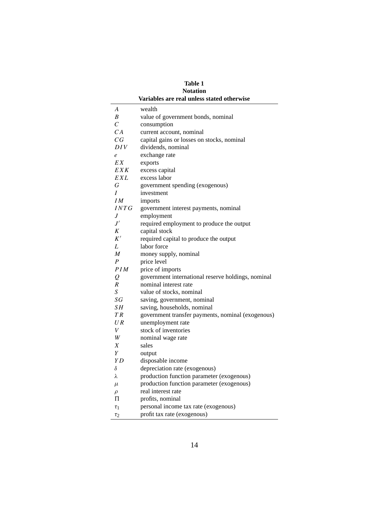| <b>Table 1</b>                             |                                                    |  |  |  |  |  |  |  |  |  |
|--------------------------------------------|----------------------------------------------------|--|--|--|--|--|--|--|--|--|
| <b>Notation</b>                            |                                                    |  |  |  |  |  |  |  |  |  |
| Variables are real unless stated otherwise |                                                    |  |  |  |  |  |  |  |  |  |
| A                                          | wealth                                             |  |  |  |  |  |  |  |  |  |
| B                                          | value of government bonds, nominal                 |  |  |  |  |  |  |  |  |  |
| $\mathcal{C}_{0}^{0}$                      | consumption                                        |  |  |  |  |  |  |  |  |  |
| CA                                         | current account, nominal                           |  |  |  |  |  |  |  |  |  |
| CG                                         | capital gains or losses on stocks, nominal         |  |  |  |  |  |  |  |  |  |
| DIV                                        | dividends, nominal                                 |  |  |  |  |  |  |  |  |  |
| e                                          | exchange rate                                      |  |  |  |  |  |  |  |  |  |
| EX                                         | exports                                            |  |  |  |  |  |  |  |  |  |
| <b>EXK</b>                                 | excess capital                                     |  |  |  |  |  |  |  |  |  |
| EXL                                        | excess labor                                       |  |  |  |  |  |  |  |  |  |
| $\cal G$                                   | government spending (exogenous)                    |  |  |  |  |  |  |  |  |  |
| I                                          | investment                                         |  |  |  |  |  |  |  |  |  |
| IM                                         | imports                                            |  |  |  |  |  |  |  |  |  |
| INTG                                       | government interest payments, nominal              |  |  |  |  |  |  |  |  |  |
| J                                          | employment                                         |  |  |  |  |  |  |  |  |  |
| $J^{\prime}$                               | required employment to produce the output          |  |  |  |  |  |  |  |  |  |
| Κ                                          | capital stock                                      |  |  |  |  |  |  |  |  |  |
| K'                                         | required capital to produce the output             |  |  |  |  |  |  |  |  |  |
| L                                          | labor force                                        |  |  |  |  |  |  |  |  |  |
| M                                          | money supply, nominal                              |  |  |  |  |  |  |  |  |  |
| $\boldsymbol{P}$                           | price level                                        |  |  |  |  |  |  |  |  |  |
| PIM                                        | price of imports                                   |  |  |  |  |  |  |  |  |  |
| $\mathcal{Q}$                              | government international reserve holdings, nominal |  |  |  |  |  |  |  |  |  |
| $\boldsymbol{R}$                           | nominal interest rate                              |  |  |  |  |  |  |  |  |  |
| $\boldsymbol{S}$                           | value of stocks, nominal                           |  |  |  |  |  |  |  |  |  |
| SG                                         | saving, government, nominal                        |  |  |  |  |  |  |  |  |  |
| SΗ                                         | saving, households, nominal                        |  |  |  |  |  |  |  |  |  |
| TR                                         | government transfer payments, nominal (exogenous)  |  |  |  |  |  |  |  |  |  |
| UR                                         | unemployment rate                                  |  |  |  |  |  |  |  |  |  |
| V                                          | stock of inventories                               |  |  |  |  |  |  |  |  |  |
| W                                          | nominal wage rate                                  |  |  |  |  |  |  |  |  |  |
| X<br>Y                                     | sales                                              |  |  |  |  |  |  |  |  |  |
| Y <sub>D</sub>                             | output                                             |  |  |  |  |  |  |  |  |  |
|                                            | disposable income<br>depreciation rate (exogenous) |  |  |  |  |  |  |  |  |  |
| δ<br>λ                                     | production function parameter (exogenous)          |  |  |  |  |  |  |  |  |  |
|                                            | production function parameter (exogenous)          |  |  |  |  |  |  |  |  |  |
| $\mu$                                      | real interest rate                                 |  |  |  |  |  |  |  |  |  |
| $\rho$<br>Π                                | profits, nominal                                   |  |  |  |  |  |  |  |  |  |
|                                            | personal income tax rate (exogenous)               |  |  |  |  |  |  |  |  |  |
| $\tau_1$                                   |                                                    |  |  |  |  |  |  |  |  |  |
| $\tau_2$                                   | profit tax rate (exogenous)                        |  |  |  |  |  |  |  |  |  |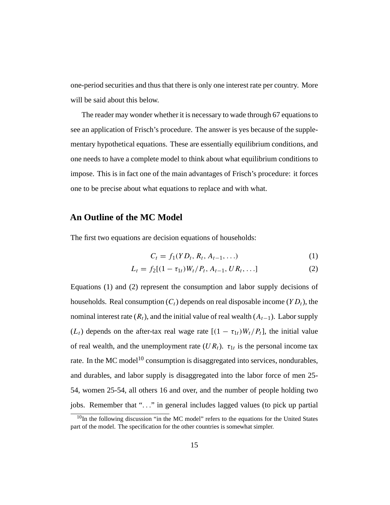one-period securities and thus that there is only one interest rate per country. More will be said about this below.

The reader may wonder whether it is necessary to wade through 67 equations to see an application of Frisch's procedure. The answer is yes because of the supplementary hypothetical equations. These are essentially equilibrium conditions, and one needs to have a complete model to think about what equilibrium conditions to impose. This is in fact one of the main advantages of Frisch's procedure: it forces one to be precise about what equations to replace and with what.

#### **An Outline of the MC Model**

The first two equations are decision equations of households:

$$
C_t = f_1(YD_t, R_t, A_{t-1}, \ldots) \tag{1}
$$

$$
L_t = f_2[(1 - \tau_{1t})W_t/P_t, A_{t-1}, UR_t, \ldots]
$$
 (2)

Equations (1) and (2) represent the consumption and labor supply decisions of households. Real consumption  $(C_t)$  depends on real disposable income  $(YD_t)$ , the nominal interest rate  $(R_t)$ , and the initial value of real wealth  $(A_{t-1})$ . Labor supply  $(L_t)$  depends on the after-tax real wage rate  $[(1 - \tau_{1t})W_t/P_t]$ , the initial value of real wealth, and the unemployment rate  $(UR_t)$ .  $\tau_{1t}$  is the personal income tax rate. In the MC model<sup>10</sup> consumption is disaggregated into services, nondurables, and durables, and labor supply is disaggregated into the labor force of men 25- 54, women 25-54, all others 16 and over, and the number of people holding two jobs. Remember that "..." in general includes lagged values (to pick up partial

 $10$ In the following discussion "in the MC model" refers to the equations for the United States part of the model. The specification for the other countries is somewhat simpler.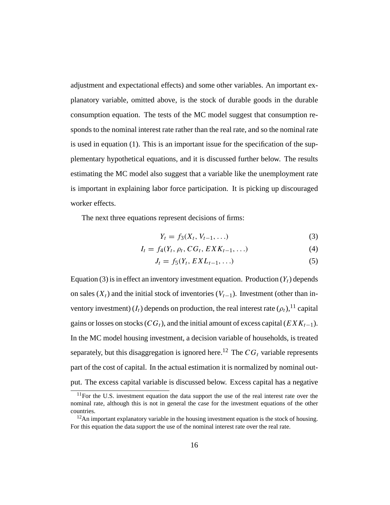adjustment and expectational effects) and some other variables. An important explanatory variable, omitted above, is the stock of durable goods in the durable consumption equation. The tests of the MC model suggest that consumption responds to the nominal interest rate rather than the real rate, and so the nominal rate is used in equation (1). This is an important issue for the specification of the supplementary hypothetical equations, and it is discussed further below. The results estimating the MC model also suggest that a variable like the unemployment rate is important in explaining labor force participation. It is picking up discouraged worker effects.

The next three equations represent decisions of firms:

$$
Y_t = f_3(X_t, V_{t-1}, \ldots) \tag{3}
$$

$$
I_t = f_4(Y_t, \rho_t, CG_t, EXK_{t-1}, \ldots) \tag{4}
$$

$$
J_t = f_5(Y_t, EXL_{t-1}, \ldots) \tag{5}
$$

Equation (3) is in effect an inventory investment equation. Production  $(Y_t)$  depends on sales  $(X_t)$  and the initial stock of inventories  $(V_{t-1})$ . Investment (other than inventory investment)  $(I_t)$  depends on production, the real interest rate  $(\rho_t)$ ,<sup>11</sup> capital gains or losses on stocks ( $CG_t$ ), and the initial amount of excess capital ( $EXK_{t-1}$ ). In the MC model housing investment, a decision variable of households, is treated separately, but this disaggregation is ignored here.<sup>12</sup> The  $CG<sub>t</sub>$  variable represents part of the cost of capital. In the actual estimation it is normalized by nominal output. The excess capital variable is discussed below. Excess capital has a negative

 $11$  For the U.S. investment equation the data support the use of the real interest rate over the nominal rate, although this is not in general the case for the investment equations of the other countries.

 $12$ An important explanatory variable in the housing investment equation is the stock of housing. For this equation the data support the use of the nominal interest rate over the real rate.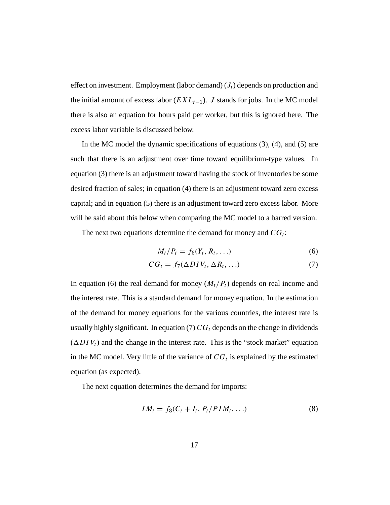effect on investment. Employment (labor demand)  $(J_t)$  depends on production and the initial amount of excess labor ( $EXL_{t-1}$ ). J stands for jobs. In the MC model there is also an equation for hours paid per worker, but this is ignored here. The excess labor variable is discussed below.

In the MC model the dynamic specifications of equations (3), (4), and (5) are such that there is an adjustment over time toward equilibrium-type values. In equation (3) there is an adjustment toward having the stock of inventories be some desired fraction of sales; in equation (4) there is an adjustment toward zero excess capital; and in equation (5) there is an adjustment toward zero excess labor. More will be said about this below when comparing the MC model to a barred version.

The next two equations determine the demand for money and  $CG_t$ :

$$
M_t/P_t = f_6(Y_t, R_t, \ldots) \tag{6}
$$

$$
CG_t = f_7(\Delta DIV_t, \Delta R_t, \ldots) \tag{7}
$$

In equation (6) the real demand for money  $(M_t/P_t)$  depends on real income and the interest rate. This is a standard demand for money equation. In the estimation of the demand for money equations for the various countries, the interest rate is usually highly significant. In equation (7)  $CG_t$  depends on the change in dividends  $(\Delta DIV_t)$  and the change in the interest rate. This is the "stock market" equation in the MC model. Very little of the variance of  $CG<sub>t</sub>$  is explained by the estimated equation (as expected).

The next equation determines the demand for imports:

$$
IM_t = f_8(C_t + I_t, P_t / PIM_t, \ldots)
$$
\n
$$
(8)
$$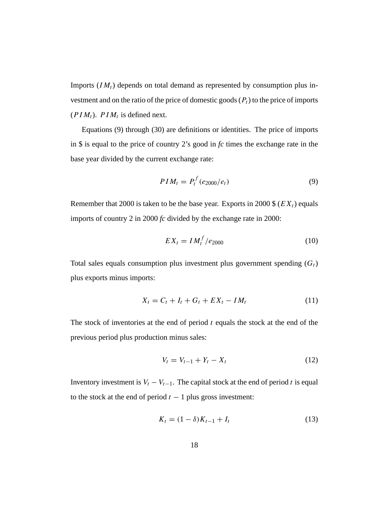Imports  $(IM<sub>t</sub>)$  depends on total demand as represented by consumption plus investment and on the ratio of the price of domestic goods  $(P_t)$  to the price of imports  $(PIM_t)$ .  $PIM_t$  is defined next.

Equations (9) through (30) are definitions or identities. The price of imports in \$ is equal to the price of country 2's good in *fc* times the exchange rate in the base year divided by the current exchange rate:

$$
PIM_t = P_t^f(e_{2000}/e_t)
$$
\n(9)

Remember that 2000 is taken to be the base year. Exports in 2000 \$ ( $EX_t$ ) equals imports of country 2 in 2000 *fc* divided by the exchange rate in 2000:

$$
EX_t = I M_t^f / e_{2000}
$$
 (10)

Total sales equals consumption plus investment plus government spending  $(G_t)$ plus exports minus imports:

$$
X_t = C_t + I_t + G_t + EX_t - IM_t \tag{11}
$$

The stock of inventories at the end of period  $t$  equals the stock at the end of the previous period plus production minus sales:

$$
V_t = V_{t-1} + Y_t - X_t \tag{12}
$$

Inventory investment is  $V_t - V_{t-1}$ . The capital stock at the end of period t is equal to the stock at the end of period  $t - 1$  plus gross investment:

$$
K_t = (1 - \delta)K_{t-1} + I_t
$$
\n(13)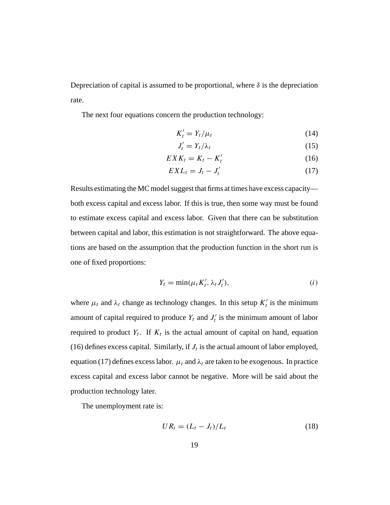Depreciation of capital is assumed to be proportional, where  $\delta$  is the depreciation rate.

The next four equations concern the production technology:

$$
K_t' = Y_t / \mu_t \tag{14}
$$

$$
J_t' = Y_t / \lambda_t \tag{15}
$$

$$
EXK_t = K_t - K'_t \tag{16}
$$

$$
EXL_t = J_t - J'_t \tag{17}
$$

Results estimating the MC model suggest that firms at times have excess capacity both excess capital and excess labor. If this is true, then some way must be found to estimate excess capital and excess labor. Given that there can be substitution between capital and labor, this estimation is not straightforward. The above equations are based on the assumption that the production function in the short run is one of fixed proportions:

$$
Y_t = \min(\mu_t K'_t, \lambda_t J'_t), \qquad (i)
$$

where  $\mu_t$  and  $\lambda_t$  change as technology changes. In this setup  $K'_t$  is the minimum amount of capital required to produce  $Y_t$  and  $J'_t$  is the minimum amount of labor required to product  $Y_t$ . If  $K_t$  is the actual amount of capital on hand, equation (16) defines excess capital. Similarly, if  $J_t$  is the actual amount of labor employed, equation (17) defines excess labor.  $\mu_t$  and  $\lambda_t$  are taken to be exogenous. In practice excess capital and excess labor cannot be negative. More will be said about the production technology later.

The unemployment rate is:

$$
UR_t = (L_t - J_t)/L_t \tag{18}
$$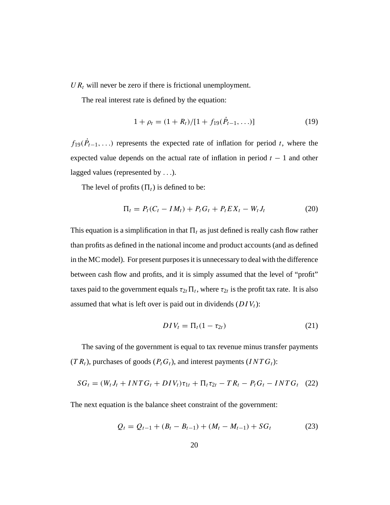$UR_t$  will never be zero if there is frictional unemployment.

The real interest rate is defined by the equation:

$$
1 + \rho_t = (1 + R_t) / [1 + f_{19}(\dot{P}_{t-1}, \ldots)] \tag{19}
$$

 $f_{19}(\dot{P}_{t-1}, \ldots)$  represents the expected rate of inflation for period t, where the expected value depends on the actual rate of inflation in period  $t - 1$  and other lagged values (represented by ...).

The level of profits  $(\Pi_t)$  is defined to be:

$$
\Pi_t = P_t(C_t - IM_t) + P_t G_t + P_t EX_t - W_t J_t \tag{20}
$$

This equation is a simplification in that  $\Pi_t$  as just defined is really cash flow rather than profits as defined in the national income and product accounts (and as defined in the MC model). For present purposes it is unnecessary to deal with the difference between cash flow and profits, and it is simply assumed that the level of "profit" taxes paid to the government equals  $\tau_{2t} \Pi_t$ , where  $\tau_{2t}$  is the profit tax rate. It is also assumed that what is left over is paid out in dividends  $(DIV_t)$ :

$$
DIV_t = \Pi_t (1 - \tau_{2t}) \tag{21}
$$

The saving of the government is equal to tax revenue minus transfer payments  $(T R_t)$ , purchases of goods  $(P_t G_t)$ , and interest payments  $(INT G_t)$ :

$$
SG_t = (W_t J_t + INT G_t + DIV_t) \tau_{1t} + \Pi_t \tau_{2t} - TR_t - P_t G_t - INT G_t \quad (22)
$$

The next equation is the balance sheet constraint of the government:

$$
Q_t = Q_{t-1} + (B_t - B_{t-1}) + (M_t - M_{t-1}) + SG_t
$$
 (23)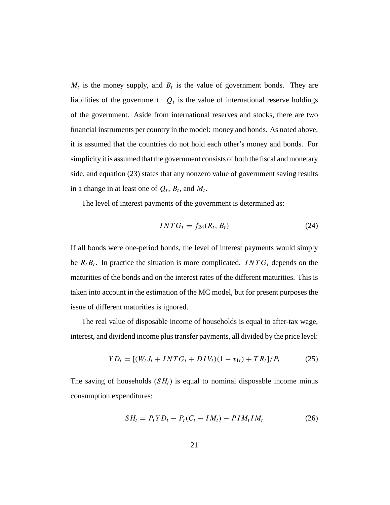$M_t$  is the money supply, and  $B_t$  is the value of government bonds. They are liabilities of the government.  $Q_t$  is the value of international reserve holdings of the government. Aside from international reserves and stocks, there are two financial instruments per country in the model: money and bonds. As noted above, it is assumed that the countries do not hold each other's money and bonds. For simplicity it is assumed that the government consists of both the fiscal and monetary side, and equation (23) states that any nonzero value of government saving results in a change in at least one of  $Q_t$ ,  $B_t$ , and  $M_t$ .

The level of interest payments of the government is determined as:

$$
INTG_t = f_{24}(R_t, B_t) \tag{24}
$$

If all bonds were one-period bonds, the level of interest payments would simply be  $R_t B_t$ . In practice the situation is more complicated. INT $G_t$  depends on the maturities of the bonds and on the interest rates of the different maturities. This is taken into account in the estimation of the MC model, but for present purposes the issue of different maturities is ignored.

The real value of disposable income of households is equal to after-tax wage, interest, and dividend income plus transfer payments, all divided by the price level:

$$
YD_t = [(W_t J_t + INT G_t + DIV_t)(1 - \tau_{1t}) + TR_t]/P_t \tag{25}
$$

The saving of households  $(SH_t)$  is equal to nominal disposable income minus consumption expenditures:

$$
SH_t = P_t Y D_t - P_t (C_t - IM_t) - P IM_t IM_t \qquad (26)
$$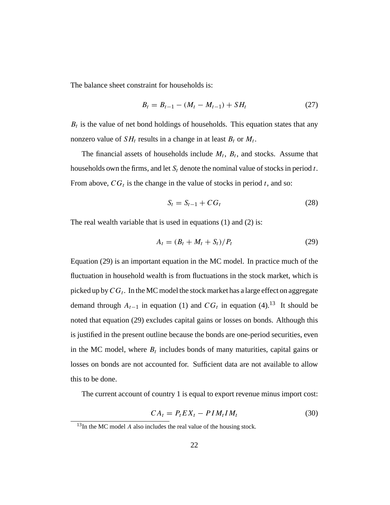The balance sheet constraint for households is:

$$
B_t = B_{t-1} - (M_t - M_{t-1}) + SH_t \tag{27}
$$

 $B_t$  is the value of net bond holdings of households. This equation states that any nonzero value of  $SH_t$  results in a change in at least  $B_t$  or  $M_t$ .

The financial assets of households include  $M_t$ ,  $B_t$ , and stocks. Assume that households own the firms, and let  $S_t$  denote the nominal value of stocks in period t. From above,  $CG_t$  is the change in the value of stocks in period t, and so:

$$
S_t = S_{t-1} + C G_t \tag{28}
$$

The real wealth variable that is used in equations (1) and (2) is:

$$
A_t = (B_t + M_t + S_t)/P_t \tag{29}
$$

Equation (29) is an important equation in the MC model. In practice much of the fluctuation in household wealth is from fluctuations in the stock market, which is picked up by  $CG_t$ . In the MC model the stock market has a large effect on aggregate demand through  $A_{t-1}$  in equation (1) and  $CG_t$  in equation (4).<sup>13</sup> It should be noted that equation (29) excludes capital gains or losses on bonds. Although this is justified in the present outline because the bonds are one-period securities, even in the MC model, where  $B_t$  includes bonds of many maturities, capital gains or losses on bonds are not accounted for. Sufficient data are not available to allow this to be done.

The current account of country 1 is equal to export revenue minus import cost:

$$
CA_t = P_t EX_t - PIM_t IM_t \tag{30}
$$

 $13$ In the MC model A also includes the real value of the housing stock.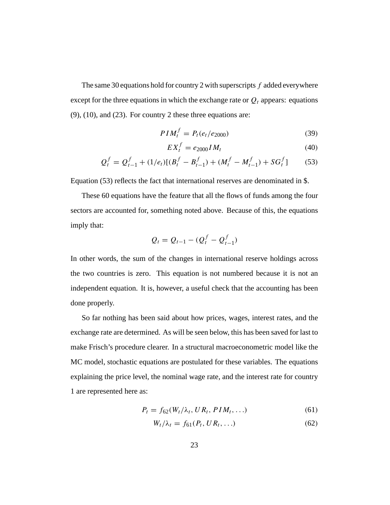The same 30 equations hold for country 2 with superscripts  $f$  added everywhere except for the three equations in which the exchange rate or  $Q_t$  appears: equations  $(9)$ ,  $(10)$ , and  $(23)$ . For country 2 these three equations are:

$$
PIM_t^f = P_t(e_t/e_{2000})
$$
 (39)

$$
EX_t^f = e_{2000} I M_t \tag{40}
$$

$$
Q_t^f = Q_{t-1}^f + (1/e_t)[(B_t^f - B_{t-1}^f) + (M_t^f - M_{t-1}^f) + SG_t^f] \tag{53}
$$

Equation (53) reflects the fact that international reserves are denominated in \$.

These 60 equations have the feature that all the flows of funds among the four sectors are accounted for, something noted above. Because of this, the equations imply that:

$$
Q_t = Q_{t-1} - (Q_t^f - Q_{t-1}^f)
$$

In other words, the sum of the changes in international reserve holdings across the two countries is zero. This equation is not numbered because it is not an independent equation. It is, however, a useful check that the accounting has been done properly.

So far nothing has been said about how prices, wages, interest rates, and the exchange rate are determined. As will be seen below, this has been saved for last to make Frisch's procedure clearer. In a structural macroeconometric model like the MC model, stochastic equations are postulated for these variables. The equations explaining the price level, the nominal wage rate, and the interest rate for country 1 are represented here as:

$$
P_t = f_{62}(W_t/\lambda_t, UR_t, PIM_t, \ldots) \tag{61}
$$

$$
W_t/\lambda_t = f_{61}(P_t, UR_t, \ldots) \tag{62}
$$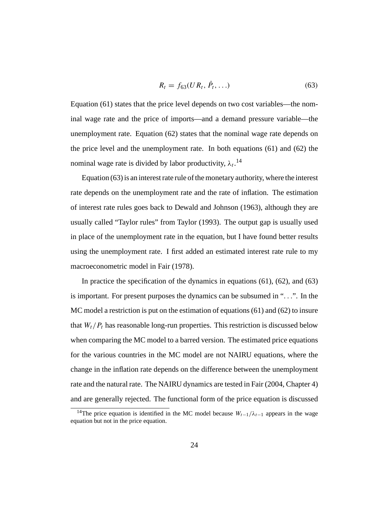$$
R_t = f_{63}(UR_t, \dot{P}_t, \ldots) \tag{63}
$$

Equation (61) states that the price level depends on two cost variables—the nominal wage rate and the price of imports—and a demand pressure variable—the unemployment rate. Equation (62) states that the nominal wage rate depends on the price level and the unemployment rate. In both equations (61) and (62) the nominal wage rate is divided by labor productivity,  $\lambda_t$ .<sup>14</sup>

Equation (63) is an interest rate rule of the monetary authority, where the interest rate depends on the unemployment rate and the rate of inflation. The estimation of interest rate rules goes back to Dewald and Johnson (1963), although they are usually called "Taylor rules" from Taylor (1993). The output gap is usually used in place of the unemployment rate in the equation, but I have found better results using the unemployment rate. I first added an estimated interest rate rule to my macroeconometric model in Fair (1978).

In practice the specification of the dynamics in equations (61), (62), and (63) is important. For present purposes the dynamics can be subsumed in "...". In the MC model a restriction is put on the estimation of equations (61) and (62) to insure that  $W_t/P_t$  has reasonable long-run properties. This restriction is discussed below when comparing the MC model to a barred version. The estimated price equations for the various countries in the MC model are not NAIRU equations, where the change in the inflation rate depends on the difference between the unemployment rate and the natural rate. The NAIRU dynamics are tested in Fair (2004, Chapter 4) and are generally rejected. The functional form of the price equation is discussed

<sup>&</sup>lt;sup>14</sup>The price equation is identified in the MC model because  $W_{t-1}/\lambda_{t-1}$  appears in the wage equation but not in the price equation.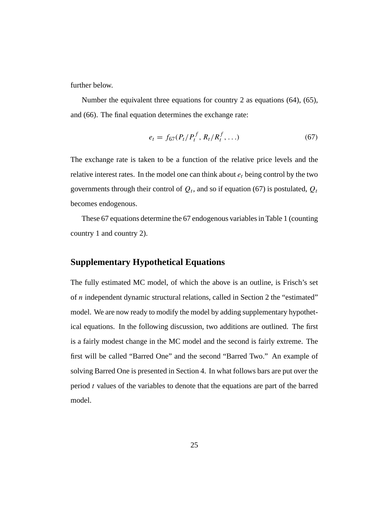further below.

Number the equivalent three equations for country 2 as equations (64), (65), and (66). The final equation determines the exchange rate:

$$
e_t = f_{67}(P_t/P_t^f, R_t/R_t^f, \ldots)
$$
\n(67)

The exchange rate is taken to be a function of the relative price levels and the relative interest rates. In the model one can think about  $e_t$  being control by the two governments through their control of  $Q_t$ , and so if equation (67) is postulated,  $Q_t$ becomes endogenous.

These 67 equations determine the 67 endogenous variables in Table 1 (counting country 1 and country 2).

### **Supplementary Hypothetical Equations**

The fully estimated MC model, of which the above is an outline, is Frisch's set of n independent dynamic structural relations, called in Section 2 the "estimated" model. We are now ready to modify the model by adding supplementary hypothetical equations. In the following discussion, two additions are outlined. The first is a fairly modest change in the MC model and the second is fairly extreme. The first will be called "Barred One" and the second "Barred Two." An example of solving Barred One is presented in Section 4. In what follows bars are put over the period  $t$  values of the variables to denote that the equations are part of the barred model.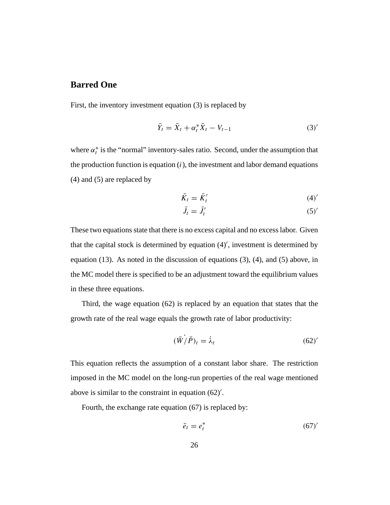### **Barred One**

First, the inventory investment equation (3) is replaced by

$$
\bar{Y}_t = \bar{X}_t + \alpha_t^* \bar{X}_t - V_{t-1}
$$
\n
$$
(3)'
$$

where  $\alpha_t^*$  is the "normal" inventory-sales ratio. Second, under the assumption that the production function is equation  $(i)$ , the investment and labor demand equations (4) and (5) are replaced by

$$
\bar{K}_t = \bar{K}'_t \tag{4'}
$$

$$
\bar{J}_t = \bar{J}'_t \tag{5'}
$$

These two equations state that there is no excess capital and no excess labor. Given that the capital stock is determined by equation (4) , investment is determined by equation (13). As noted in the discussion of equations (3), (4), and (5) above, in the MC model there is specified to be an adjustment toward the equilibrium values in these three equations.

Third, the wage equation (62) is replaced by an equation that states that the growth rate of the real wage equals the growth rate of labor productivity:

$$
(\bar{W}\dot{}/\bar{P})_t = \dot{\lambda}_t \tag{62}'
$$

This equation reflects the assumption of a constant labor share. The restriction imposed in the MC model on the long-run properties of the real wage mentioned above is similar to the constraint in equation (62) .

Fourth, the exchange rate equation (67) is replaced by:

$$
\bar{e}_t = e_t^* \tag{67}'
$$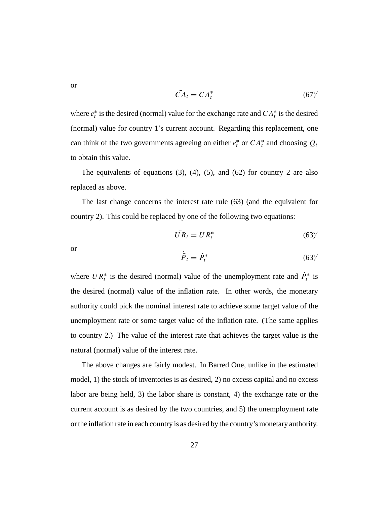or

$$
\bar{CA}_t = CA_t^* \tag{67}'
$$

where  $e_t^*$  is the desired (normal) value for the exchange rate and  $CA_t^*$  is the desired (normal) value for country 1's current account. Regarding this replacement, one can think of the two governments agreeing on either  $e_t^*$  or  $CA_t^*$  and choosing  $Q_t$ to obtain this value.

The equivalents of equations  $(3)$ ,  $(4)$ ,  $(5)$ , and  $(62)$  for country 2 are also replaced as above.

The last change concerns the interest rate rule (63) (and the equivalent for country 2). This could be replaced by one of the following two equations:

$$
\bar{UR}_t = UR_t^* \tag{63}'
$$

or

$$
\dot{\bar{P}}_t = \dot{P}_t^* \tag{63'}
$$

where  $UR_t^*$  is the desired (normal) value of the unemployment rate and  $\dot{P}_t^*$  is the desired (normal) value of the inflation rate. In other words, the monetary authority could pick the nominal interest rate to achieve some target value of the unemployment rate or some target value of the inflation rate. (The same applies to country 2.) The value of the interest rate that achieves the target value is the natural (normal) value of the interest rate.

The above changes are fairly modest. In Barred One, unlike in the estimated model, 1) the stock of inventories is as desired, 2) no excess capital and no excess labor are being held, 3) the labor share is constant, 4) the exchange rate or the current account is as desired by the two countries, and 5) the unemployment rate or the inflation rate in each country is as desired by the country's monetary authority.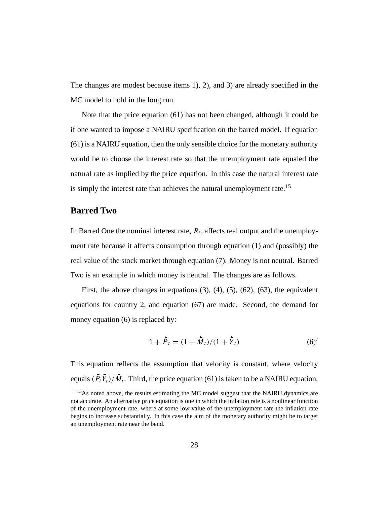The changes are modest because items 1), 2), and 3) are already specified in the MC model to hold in the long run.

Note that the price equation (61) has not been changed, although it could be if one wanted to impose a NAIRU specification on the barred model. If equation (61) is a NAIRU equation, then the only sensible choice for the monetary authority would be to choose the interest rate so that the unemployment rate equaled the natural rate as implied by the price equation. In this case the natural interest rate is simply the interest rate that achieves the natural unemployment rate.<sup>15</sup>

### **Barred Two**

In Barred One the nominal interest rate,  $R_t$ , affects real output and the unemployment rate because it affects consumption through equation (1) and (possibly) the real value of the stock market through equation (7). Money is not neutral. Barred Two is an example in which money is neutral. The changes are as follows.

First, the above changes in equations  $(3)$ ,  $(4)$ ,  $(5)$ ,  $(62)$ ,  $(63)$ , the equivalent equations for country 2, and equation (67) are made. Second, the demand for money equation (6) is replaced by:

$$
1 + \dot{\bar{P}}_t = (1 + \dot{\bar{M}}_t)/(1 + \dot{\bar{Y}}_t)
$$
 (6)

This equation reflects the assumption that velocity is constant, where velocity equals  $(P_t Y_t)/M_t$ . Third, the price equation (61) is taken to be a NAIRU equation,

<sup>&</sup>lt;sup>15</sup>As noted above, the results estimating the MC model suggest that the NAIRU dynamics are not accurate. An alternative price equation is one in which the inflation rate is a nonlinear function of the unemployment rate, where at some low value of the unemployment rate the inflation rate begins to increase substantially. In this case the aim of the monetary authority might be to target an unemployment rate near the bend.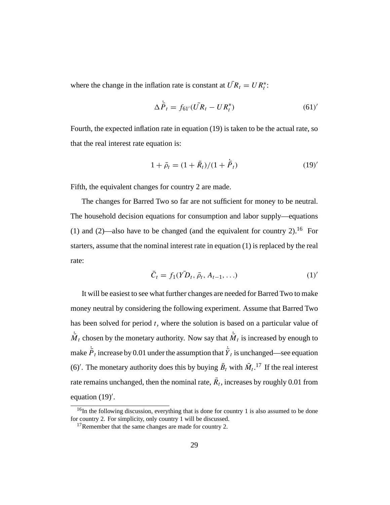where the change in the inflation rate is constant at  $UR_t = UR_t^*$ :

$$
\Delta \dot{\vec{P}}_t = f_{61'} (\vec{UR}_t - UR_t^*) \tag{61}'
$$

Fourth, the expected inflation rate in equation (19) is taken to be the actual rate, so that the real interest rate equation is:

$$
1 + \bar{\rho}_t = (1 + \bar{R}_t)/(1 + \bar{P}_t)
$$
\n(19)'

Fifth, the equivalent changes for country 2 are made.

The changes for Barred Two so far are not sufficient for money to be neutral. The household decision equations for consumption and labor supply—equations (1) and (2)—also have to be changed (and the equivalent for country 2).<sup>16</sup> For starters, assume that the nominal interest rate in equation (1) is replaced by the real rate:

$$
\bar{C}_t = f_1(\bar{YD}_t, \bar{\rho}_t, A_{t-1}, \ldots) \tag{1'}
$$

It will be easiest to see what further changes are needed for Barred Two to make money neutral by considering the following experiment. Assume that Barred Two has been solved for period  $t$ , where the solution is based on a particular value of  $\overline{M}_t$  chosen by the monetary authority. Now say that  $\overline{M}_t$  is increased by enough to make  ${\bar{P}}_t$  increase by 0.01 under the assumption that  ${\bar{Y}}_t$  is unchanged—see equation (6)'. The monetary authority does this by buying  $\bar{B}_t$  with  $\bar{M}_t$ .<sup>17</sup> If the real interest rate remains unchanged, then the nominal rate,  $\bar{R}_t$ , increases by roughly 0.01 from equation (19) .

<sup>&</sup>lt;sup>16</sup>In the following discussion, everything that is done for country 1 is also assumed to be done for country 2. For simplicity, only country 1 will be discussed.

<sup>&</sup>lt;sup>17</sup>Remember that the same changes are made for country 2.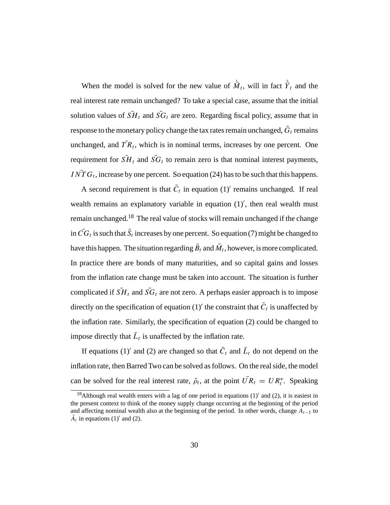When the model is solved for the new value of  $\overline{M}_t$ , will in fact  $\overline{Y}_t$  and the real interest rate remain unchanged? To take a special case, assume that the initial solution values of  $\overline{SH}_t$  and  $\overline{SG}_t$  are zero. Regarding fiscal policy, assume that in response to the monetary policy change the tax rates remain unchanged,  $\bar{G}_t$  remains unchanged, and  $\overline{TR}_t$ , which is in nominal terms, increases by one percent. One requirement for  $\overline{SH}_t$  and  $\overline{SG}_t$  to remain zero is that nominal interest payments,  $INTG_t$ , increase by one percent. So equation (24) has to be such that this happens.

A second requirement is that  $\overline{C}_t$  in equation (1)' remains unchanged. If real wealth remains an explanatory variable in equation  $(1)'$ , then real wealth must remain unchanged.18 The real value of stocks will remain unchanged if the change in  $CG_t$  is such that  $S_t$  increases by one percent. So equation (7) might be changed to have this happen. The situation regarding  $\bar{B}_t$  and  $\bar{M}_t$ , however, is more complicated. In practice there are bonds of many maturities, and so capital gains and losses from the inflation rate change must be taken into account. The situation is further complicated if  $\overline{SH}_t$  and  $\overline{SG}_t$  are not zero. A perhaps easier approach is to impose directly on the specification of equation (1)' the constraint that  $\overline{C}_t$  is unaffected by the inflation rate. Similarly, the specification of equation (2) could be changed to impose directly that  $\bar{L}_t$  is unaffected by the inflation rate.

If equations (1)' and (2) are changed so that  $\overline{C}_t$  and  $\overline{L}_t$  do not depend on the inflation rate, then Barred Two can be solved as follows. On the real side, the model can be solved for the real interest rate,  $\bar{\rho}_t$ , at the point  $UR_t = UR_t^*$ . Speaking

<sup>&</sup>lt;sup>18</sup>Although real wealth enters with a lag of one period in equations  $(1)'$  and  $(2)$ , it is easiest in the present context to think of the money supply change occurring at the beginning of the period and affecting nominal wealth also at the beginning of the period. In other words, change  $A_{t-1}$  to  $A_t$  in equations (1)' and (2).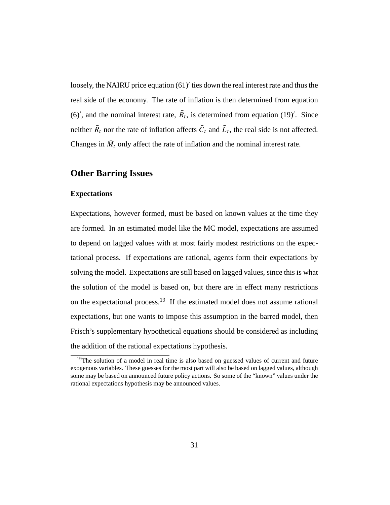loosely, the NAIRU price equation  $(61)'$  ties down the real interest rate and thus the real side of the economy. The rate of inflation is then determined from equation (6)', and the nominal interest rate,  $R_t$ , is determined from equation (19)'. Since neither  $\overline{R}_t$  nor the rate of inflation affects  $\overline{C}_t$  and  $\overline{L}_t$ , the real side is not affected. Changes in  $\overline{M}_t$  only affect the rate of inflation and the nominal interest rate.

### **Other Barring Issues**

#### **Expectations**

Expectations, however formed, must be based on known values at the time they are formed. In an estimated model like the MC model, expectations are assumed to depend on lagged values with at most fairly modest restrictions on the expectational process. If expectations are rational, agents form their expectations by solving the model. Expectations are still based on lagged values, since this is what the solution of the model is based on, but there are in effect many restrictions on the expectational process.19 If the estimated model does not assume rational expectations, but one wants to impose this assumption in the barred model, then Frisch's supplementary hypothetical equations should be considered as including the addition of the rational expectations hypothesis.

<sup>&</sup>lt;sup>19</sup>The solution of a model in real time is also based on guessed values of current and future exogenous variables. These guesses for the most part will also be based on lagged values, although some may be based on announced future policy actions. So some of the "known" values under the rational expectations hypothesis may be announced values.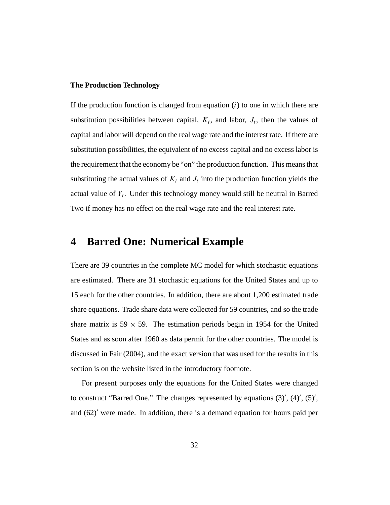#### **The Production Technology**

If the production function is changed from equation  $(i)$  to one in which there are substitution possibilities between capital,  $K_t$ , and labor,  $J_t$ , then the values of capital and labor will depend on the real wage rate and the interest rate. If there are substitution possibilities, the equivalent of no excess capital and no excess labor is the requirement that the economy be "on" the production function. This means that substituting the actual values of  $K_t$  and  $J_t$  into the production function yields the actual value of  $Y_t$ . Under this technology money would still be neutral in Barred Two if money has no effect on the real wage rate and the real interest rate.

### **4 Barred One: Numerical Example**

There are 39 countries in the complete MC model for which stochastic equations are estimated. There are 31 stochastic equations for the United States and up to 15 each for the other countries. In addition, there are about 1,200 estimated trade share equations. Trade share data were collected for 59 countries, and so the trade share matrix is 59  $\times$  59. The estimation periods begin in 1954 for the United States and as soon after 1960 as data permit for the other countries. The model is discussed in Fair (2004), and the exact version that was used for the results in this section is on the website listed in the introductory footnote.

For present purposes only the equations for the United States were changed to construct "Barred One." The changes represented by equations  $(3)$ ',  $(4)$ ',  $(5)$ ', and  $(62)$  were made. In addition, there is a demand equation for hours paid per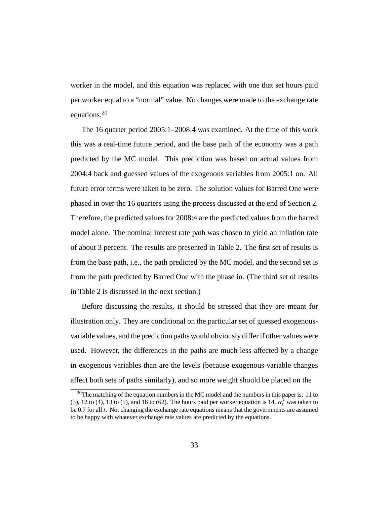worker in the model, and this equation was replaced with one that set hours paid per worker equal to a "normal" value. No changes were made to the exchange rate equations.20

The 16 quarter period 2005:1–2008:4 was examined. At the time of this work this was a real-time future period, and the base path of the economy was a path predicted by the MC model. This prediction was based on actual values from 2004:4 back and guessed values of the exogenous variables from 2005:1 on. All future error terms were taken to be zero. The solution values for Barred One were phased in over the 16 quarters using the process discussed at the end of Section 2. Therefore, the predicted values for 2008:4 are the predicted values from the barred model alone. The nominal interest rate path was chosen to yield an inflation rate of about 3 percent. The results are presented in Table 2. The first set of results is from the base path, i.e., the path predicted by the MC model, and the second set is from the path predicted by Barred One with the phase in. (The third set of results in Table 2 is discussed in the next section.)

Before discussing the results, it should be stressed that they are meant for illustration only. They are conditional on the particular set of guessed exogenousvariable values, and the prediction paths would obviously differ if other values were used. However, the differences in the paths are much less affected by a change in exogenous variables than are the levels (because exogenous-variable changes affect both sets of paths similarly), and so more weight should be placed on the

<sup>&</sup>lt;sup>20</sup>The matching of the equation numbers in the MC model and the numbers in this paper is: 11 to (3), 12 to (4), 13 to (5), and 16 to (62). The hours paid per worker equation is 14.  $\alpha_t^*$  was taken to be  $0.7$  for all  $t$ . Not changing the exchange rate equations means that the governments are assumed to be happy with whatever exchange rate values are predicted by the equations.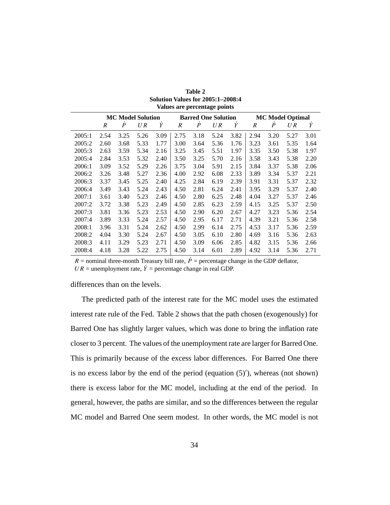|        | <b>MC Model Solution</b> |                  |      |      | <b>Barred One Solution</b> |                  |      |      | <b>MC Model Optimal</b> |                  |      |      |  |
|--------|--------------------------|------------------|------|------|----------------------------|------------------|------|------|-------------------------|------------------|------|------|--|
|        | R                        | $\boldsymbol{P}$ | U R  | Y    | R                          | $\boldsymbol{P}$ | UR   | Y    | R                       | $\boldsymbol{P}$ | U R  | Y    |  |
| 2005:1 | 2.54                     | 3.25             | 5.26 | 3.09 | 2.75                       | 3.18             | 5.24 | 3.82 | 2.94                    | 3.20             | 5.27 | 3.01 |  |
| 2005:2 | 2.60                     | 3.68             | 5.33 | 1.77 | 3.00                       | 3.64             | 5.36 | 1.76 | 3.23                    | 3.61             | 5.35 | 1.64 |  |
| 2005:3 | 2.63                     | 3.59             | 5.34 | 2.16 | 3.25                       | 3.45             | 5.51 | 1.97 | 3.35                    | 3.50             | 5.38 | 1.97 |  |
| 2005:4 | 2.84                     | 3.53             | 5.32 | 2.40 | 3.50                       | 3.25             | 5.70 | 2.16 | 3.58                    | 3.43             | 5.38 | 2.20 |  |
| 2006:1 | 3.09                     | 3.52             | 5.29 | 2.26 | 3.75                       | 3.04             | 5.91 | 2.15 | 3.84                    | 3.37             | 5.38 | 2.06 |  |
| 2006:2 | 3.26                     | 3.48             | 5.27 | 2.36 | 4.00                       | 2.92             | 6.08 | 2.33 | 3.89                    | 3.34             | 5.37 | 2.21 |  |
| 2006:3 | 3.37                     | 3.45             | 5.25 | 2.40 | 4.25                       | 2.84             | 6.19 | 2.39 | 3.91                    | 3.31             | 5.37 | 2.32 |  |
| 2006:4 | 3.49                     | 3.43             | 5.24 | 2.43 | 4.50                       | 2.81             | 6.24 | 2.41 | 3.95                    | 3.29             | 5.37 | 2.40 |  |
| 2007:1 | 3.61                     | 3.40             | 5.23 | 2.46 | 4.50                       | 2.80             | 6.25 | 2.48 | 4.04                    | 3.27             | 5.37 | 2.46 |  |
| 2007:2 | 3.72                     | 3.38             | 5.23 | 2.49 | 4.50                       | 2.85             | 6.23 | 2.59 | 4.15                    | 3.25             | 5.37 | 2.50 |  |
| 2007:3 | 3.81                     | 3.36             | 5.23 | 2.53 | 4.50                       | 2.90             | 6.20 | 2.67 | 4.27                    | 3.23             | 5.36 | 2.54 |  |
| 2007:4 | 3.89                     | 3.33             | 5.24 | 2.57 | 4.50                       | 2.95             | 6.17 | 2.71 | 4.39                    | 3.21             | 5.36 | 2.58 |  |
| 2008:1 | 3.96                     | 3.31             | 5.24 | 2.62 | 4.50                       | 2.99             | 6.14 | 2.75 | 4.53                    | 3.17             | 5.36 | 2.59 |  |
| 2008:2 | 4.04                     | 3.30             | 5.24 | 2.67 | 4.50                       | 3.05             | 6.10 | 2.80 | 4.69                    | 3.16             | 5.36 | 2.63 |  |
| 2008:3 | 4.11                     | 3.29             | 5.23 | 2.71 | 4.50                       | 3.09             | 6.06 | 2.85 | 4.82                    | 3.15             | 5.36 | 2.66 |  |
| 2008:4 | 4.18                     | 3.28             | 5.22 | 2.75 | 4.50                       | 3.14             | 6.01 | 2.89 | 4.92                    | 3.14             | 5.36 | 2.71 |  |

**Table 2 Solution Values for 2005:1–2008:4 Values are percentage points**

R = nominal three-month Treasury bill rate,  $\dot{P}$  = percentage change in the GDP deflator,

 $UR =$  unemployment rate,  $\dot{Y} =$  percentage change in real GDP.

differences than on the levels.

The predicted path of the interest rate for the MC model uses the estimated interest rate rule of the Fed. Table 2 shows that the path chosen (exogenously) for Barred One has slightly larger values, which was done to bring the inflation rate closer to 3 percent. The values of the unemployment rate are larger for Barred One. This is primarily because of the excess labor differences. For Barred One there is no excess labor by the end of the period (equation (5) ), whereas (not shown) there is excess labor for the MC model, including at the end of the period. In general, however, the paths are similar, and so the differences between the regular MC model and Barred One seem modest. In other words, the MC model is not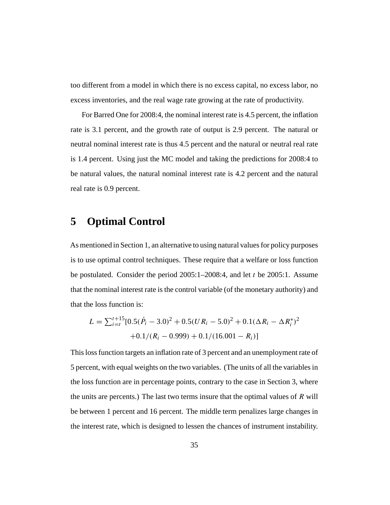too different from a model in which there is no excess capital, no excess labor, no excess inventories, and the real wage rate growing at the rate of productivity.

For Barred One for 2008:4, the nominal interest rate is 4.5 percent, the inflation rate is 3.1 percent, and the growth rate of output is 2.9 percent. The natural or neutral nominal interest rate is thus 4.5 percent and the natural or neutral real rate is 1.4 percent. Using just the MC model and taking the predictions for 2008:4 to be natural values, the natural nominal interest rate is 4.2 percent and the natural real rate is 0.9 percent.

## **5 Optimal Control**

As mentioned in Section 1, an alternative to using natural values for policy purposes is to use optimal control techniques. These require that a welfare or loss function be postulated. Consider the period  $2005:1-2008:4$ , and let t be 2005:1. Assume that the nominal interest rate is the control variable (of the monetary authority) and that the loss function is:

$$
L = \sum_{i=t}^{t+15} [0.5(\dot{P}_i - 3.0)^2 + 0.5(UR_i - 5.0)^2 + 0.1(\Delta R_i - \Delta R_i^*)^2
$$
  
+0.1/(R\_i - 0.999) + 0.1/(16.001 - R\_i)]

This loss function targets an inflation rate of 3 percent and an unemployment rate of 5 percent, with equal weights on the two variables. (The units of all the variables in the loss function are in percentage points, contrary to the case in Section 3, where the units are percents.) The last two terms insure that the optimal values of  $R$  will be between 1 percent and 16 percent. The middle term penalizes large changes in the interest rate, which is designed to lessen the chances of instrument instability.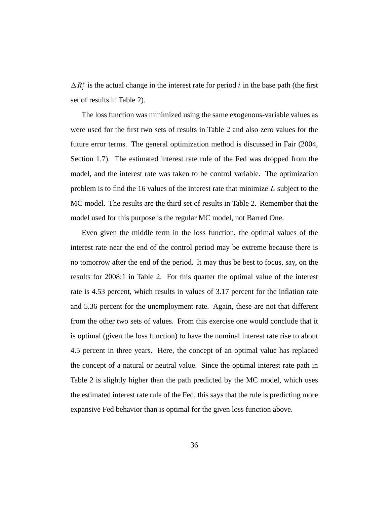$\Delta R_i^*$  is the actual change in the interest rate for period *i* in the base path (the first set of results in Table 2).

The loss function was minimized using the same exogenous-variable values as were used for the first two sets of results in Table 2 and also zero values for the future error terms. The general optimization method is discussed in Fair (2004, Section 1.7). The estimated interest rate rule of the Fed was dropped from the model, and the interest rate was taken to be control variable. The optimization problem is to find the 16 values of the interest rate that minimize L subject to the MC model. The results are the third set of results in Table 2. Remember that the model used for this purpose is the regular MC model, not Barred One.

Even given the middle term in the loss function, the optimal values of the interest rate near the end of the control period may be extreme because there is no tomorrow after the end of the period. It may thus be best to focus, say, on the results for 2008:1 in Table 2. For this quarter the optimal value of the interest rate is 4.53 percent, which results in values of 3.17 percent for the inflation rate and 5.36 percent for the unemployment rate. Again, these are not that different from the other two sets of values. From this exercise one would conclude that it is optimal (given the loss function) to have the nominal interest rate rise to about 4.5 percent in three years. Here, the concept of an optimal value has replaced the concept of a natural or neutral value. Since the optimal interest rate path in Table 2 is slightly higher than the path predicted by the MC model, which uses the estimated interest rate rule of the Fed, this says that the rule is predicting more expansive Fed behavior than is optimal for the given loss function above.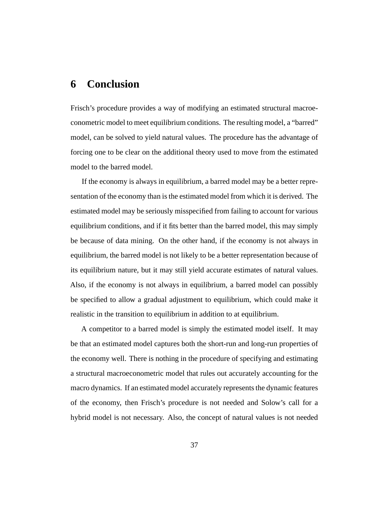## **6 Conclusion**

Frisch's procedure provides a way of modifying an estimated structural macroeconometric model to meet equilibrium conditions. The resulting model, a "barred" model, can be solved to yield natural values. The procedure has the advantage of forcing one to be clear on the additional theory used to move from the estimated model to the barred model.

If the economy is always in equilibrium, a barred model may be a better representation of the economy than is the estimated model from which it is derived. The estimated model may be seriously misspecified from failing to account for various equilibrium conditions, and if it fits better than the barred model, this may simply be because of data mining. On the other hand, if the economy is not always in equilibrium, the barred model is not likely to be a better representation because of its equilibrium nature, but it may still yield accurate estimates of natural values. Also, if the economy is not always in equilibrium, a barred model can possibly be specified to allow a gradual adjustment to equilibrium, which could make it realistic in the transition to equilibrium in addition to at equilibrium.

A competitor to a barred model is simply the estimated model itself. It may be that an estimated model captures both the short-run and long-run properties of the economy well. There is nothing in the procedure of specifying and estimating a structural macroeconometric model that rules out accurately accounting for the macro dynamics. If an estimated model accurately represents the dynamic features of the economy, then Frisch's procedure is not needed and Solow's call for a hybrid model is not necessary. Also, the concept of natural values is not needed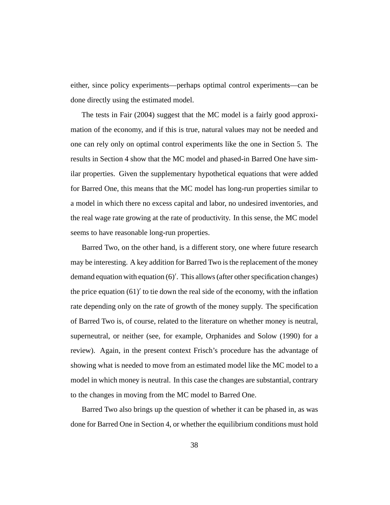either, since policy experiments—perhaps optimal control experiments—can be done directly using the estimated model.

The tests in Fair (2004) suggest that the MC model is a fairly good approximation of the economy, and if this is true, natural values may not be needed and one can rely only on optimal control experiments like the one in Section 5. The results in Section 4 show that the MC model and phased-in Barred One have similar properties. Given the supplementary hypothetical equations that were added for Barred One, this means that the MC model has long-run properties similar to a model in which there no excess capital and labor, no undesired inventories, and the real wage rate growing at the rate of productivity. In this sense, the MC model seems to have reasonable long-run properties.

Barred Two, on the other hand, is a different story, one where future research may be interesting. A key addition for Barred Two is the replacement of the money demand equation with equation (6) . This allows (after other specification changes) the price equation  $(61)'$  to tie down the real side of the economy, with the inflation rate depending only on the rate of growth of the money supply. The specification of Barred Two is, of course, related to the literature on whether money is neutral, superneutral, or neither (see, for example, Orphanides and Solow (1990) for a review). Again, in the present context Frisch's procedure has the advantage of showing what is needed to move from an estimated model like the MC model to a model in which money is neutral. In this case the changes are substantial, contrary to the changes in moving from the MC model to Barred One.

Barred Two also brings up the question of whether it can be phased in, as was done for Barred One in Section 4, or whether the equilibrium conditions must hold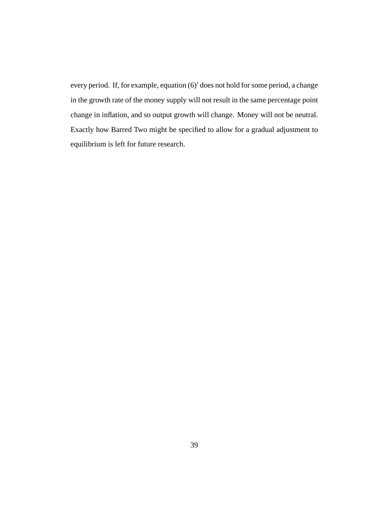every period. If, for example, equation (6)' does not hold for some period, a change in the growth rate of the money supply will not result in the same percentage point change in inflation, and so output growth will change. Money will not be neutral. Exactly how Barred Two might be specified to allow for a gradual adjustment to equilibrium is left for future research.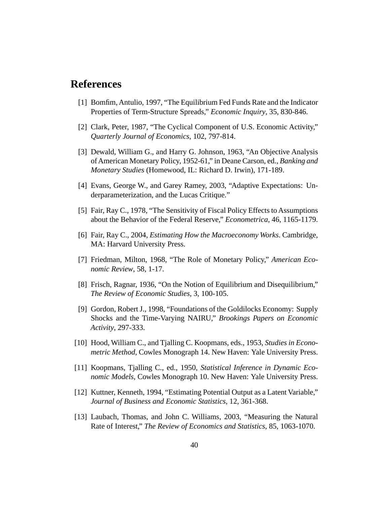### **References**

- [1] Bomfim, Antulio, 1997, "The Equilibrium Fed Funds Rate and the Indicator Properties of Term-Structure Spreads," *Economic Inquiry*, 35, 830-846.
- [2] Clark, Peter, 1987, "The Cyclical Component of U.S. Economic Activity," *Quarterly Journal of Economics*, 102, 797-814.
- [3] Dewald, William G., and Harry G. Johnson, 1963, "An Objective Analysis of American Monetary Policy, 1952-61," in Deane Carson, ed., *Banking and Monetary Studies* (Homewood, IL: Richard D. Irwin), 171-189.
- [4] Evans, George W., and Garey Ramey, 2003, "Adaptive Expectations: Underparameterization, and the Lucas Critique."
- [5] Fair, Ray C., 1978, "The Sensitivity of Fiscal Policy Effects to Assumptions about the Behavior of the Federal Reserve," *Econometrica*, 46, 1165-1179.
- [6] Fair, Ray C., 2004, *Estimating How the Macroeconomy Works*. Cambridge, MA: Harvard University Press.
- [7] Friedman, Milton, 1968, "The Role of Monetary Policy," *American Economic Review*, 58, 1-17.
- [8] Frisch, Ragnar, 1936, "On the Notion of Equilibrium and Disequilibrium," *The Review of Economic Studies*, 3, 100-105.
- [9] Gordon, Robert J., 1998, "Foundations of the Goldilocks Economy: Supply Shocks and the Time-Varying NAIRU," *Brookings Papers on Economic Activity*, 297-333.
- [10] Hood, William C., and Tjalling C. Koopmans, eds., 1953, *Studies in Econometric Method*, Cowles Monograph 14. New Haven: Yale University Press.
- [11] Koopmans, Tjalling C., ed., 1950, *Statistical Inference in Dynamic Economic Models*, Cowles Monograph 10. New Haven: Yale University Press.
- [12] Kuttner, Kenneth, 1994, "Estimating Potential Output as a Latent Variable," *Journal of Business and Economic Statistics*, 12, 361-368.
- [13] Laubach, Thomas, and John C. Williams, 2003, "Measuring the Natural Rate of Interest," *The Review of Economics and Statistics*, 85, 1063-1070.